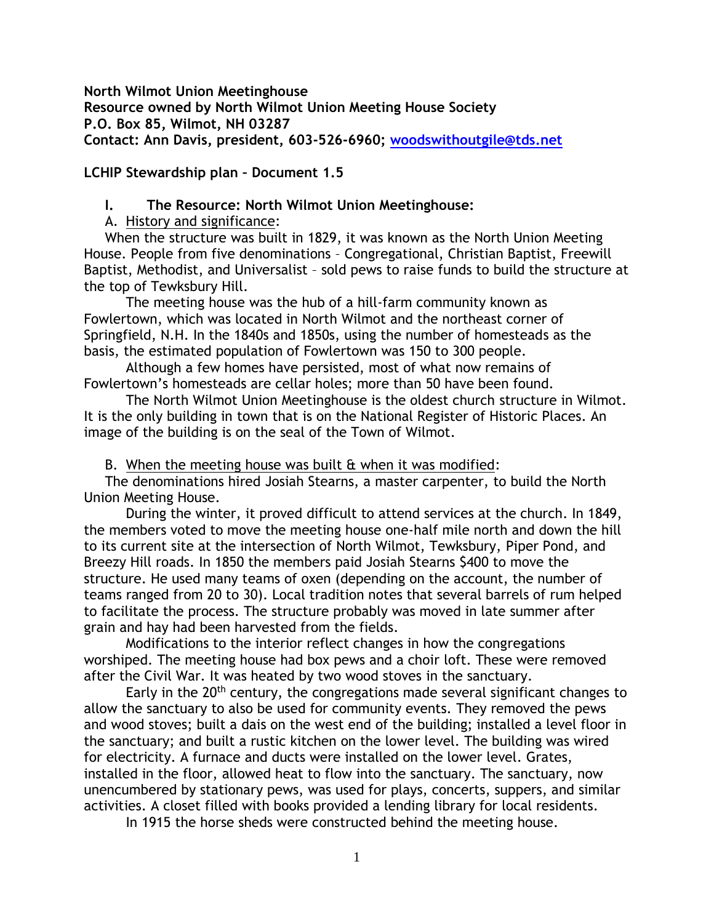**North Wilmot Union Meetinghouse Resource owned by North Wilmot Union Meeting House Society P.O. Box 85, Wilmot, NH 03287 Contact: Ann Davis, president, 603-526-6960; [woodswithoutgile@tds.net](mailto:woodswithoutgile@tds.net)**

#### **LCHIP Stewardship plan – Document 1.5**

#### **I. The Resource: North Wilmot Union Meetinghouse:**

A. History and significance:

When the structure was built in 1829, it was known as the North Union Meeting House. People from five denominations – Congregational, Christian Baptist, Freewill Baptist, Methodist, and Universalist – sold pews to raise funds to build the structure at the top of Tewksbury Hill.

The meeting house was the hub of a hill-farm community known as Fowlertown, which was located in North Wilmot and the northeast corner of Springfield, N.H. In the 1840s and 1850s, using the number of homesteads as the basis, the estimated population of Fowlertown was 150 to 300 people.

Although a few homes have persisted, most of what now remains of Fowlertown's homesteads are cellar holes; more than 50 have been found.

The North Wilmot Union Meetinghouse is the oldest church structure in Wilmot. It is the only building in town that is on the National Register of Historic Places. An image of the building is on the seal of the Town of Wilmot.

B. When the meeting house was built & when it was modified:

The denominations hired Josiah Stearns, a master carpenter, to build the North Union Meeting House.

During the winter, it proved difficult to attend services at the church. In 1849, the members voted to move the meeting house one-half mile north and down the hill to its current site at the intersection of North Wilmot, Tewksbury, Piper Pond, and Breezy Hill roads. In 1850 the members paid Josiah Stearns \$400 to move the structure. He used many teams of oxen (depending on the account, the number of teams ranged from 20 to 30). Local tradition notes that several barrels of rum helped to facilitate the process. The structure probably was moved in late summer after grain and hay had been harvested from the fields.

Modifications to the interior reflect changes in how the congregations worshiped. The meeting house had box pews and a choir loft. These were removed after the Civil War. It was heated by two wood stoves in the sanctuary.

Early in the 20<sup>th</sup> century, the congregations made several significant changes to allow the sanctuary to also be used for community events. They removed the pews and wood stoves; built a dais on the west end of the building; installed a level floor in the sanctuary; and built a rustic kitchen on the lower level. The building was wired for electricity. A furnace and ducts were installed on the lower level. Grates, installed in the floor, allowed heat to flow into the sanctuary. The sanctuary, now unencumbered by stationary pews, was used for plays, concerts, suppers, and similar activities. A closet filled with books provided a lending library for local residents.

In 1915 the horse sheds were constructed behind the meeting house.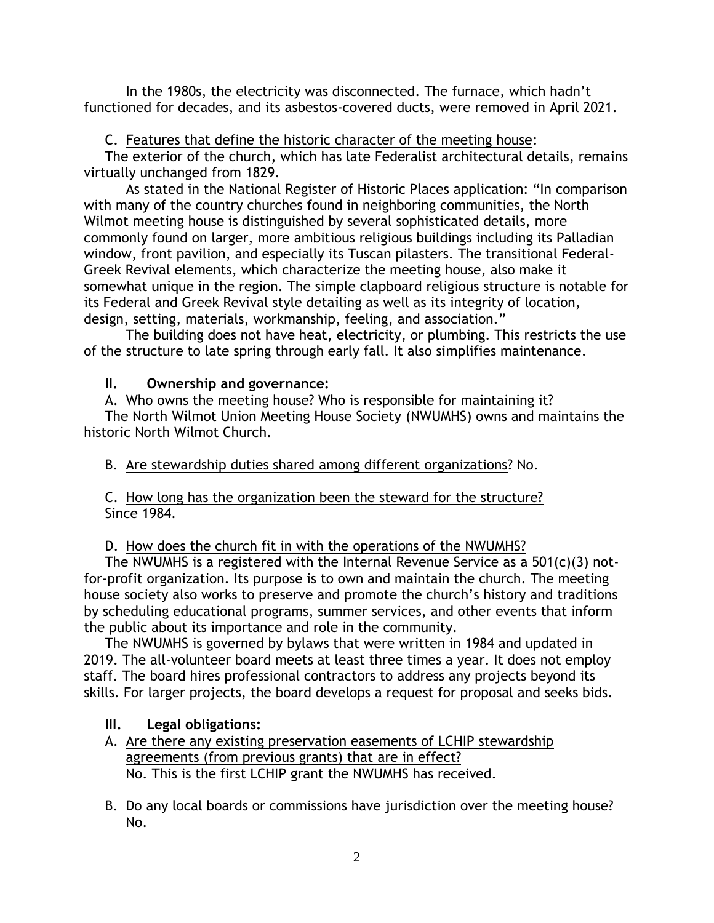In the 1980s, the electricity was disconnected. The furnace, which hadn't functioned for decades, and its asbestos-covered ducts, were removed in April 2021.

C. Features that define the historic character of the meeting house:

The exterior of the church, which has late Federalist architectural details, remains virtually unchanged from 1829.

As stated in the National Register of Historic Places application: "In comparison with many of the country churches found in neighboring communities, the North Wilmot meeting house is distinguished by several sophisticated details, more commonly found on larger, more ambitious religious buildings including its Palladian window, front pavilion, and especially its Tuscan pilasters. The transitional Federal-Greek Revival elements, which characterize the meeting house, also make it somewhat unique in the region. The simple clapboard religious structure is notable for its Federal and Greek Revival style detailing as well as its integrity of location, design, setting, materials, workmanship, feeling, and association."

The building does not have heat, electricity, or plumbing. This restricts the use of the structure to late spring through early fall. It also simplifies maintenance.

# **II. Ownership and governance:**

A. Who owns the meeting house? Who is responsible for maintaining it?

The North Wilmot Union Meeting House Society (NWUMHS) owns and maintains the historic North Wilmot Church.

B. Are stewardship duties shared among different organizations? No.

C. How long has the organization been the steward for the structure? Since 1984.

# D. How does the church fit in with the operations of the NWUMHS?

The NWUMHS is a registered with the Internal Revenue Service as a 501(c)(3) notfor-profit organization. Its purpose is to own and maintain the church. The meeting house society also works to preserve and promote the church's history and traditions by scheduling educational programs, summer services, and other events that inform the public about its importance and role in the community.

The NWUMHS is governed by bylaws that were written in 1984 and updated in 2019. The all-volunteer board meets at least three times a year. It does not employ staff. The board hires professional contractors to address any projects beyond its skills. For larger projects, the board develops a request for proposal and seeks bids.

# **III. Legal obligations:**

- A. Are there any existing preservation easements of LCHIP stewardship agreements (from previous grants) that are in effect? No. This is the first LCHIP grant the NWUMHS has received.
- B. Do any local boards or commissions have jurisdiction over the meeting house? No.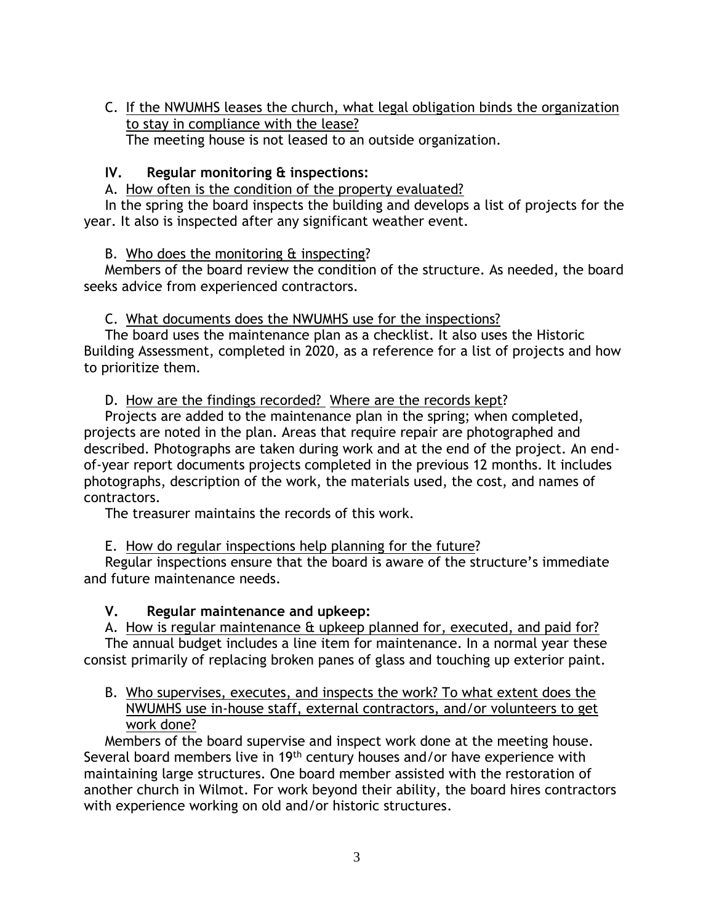C. If the NWUMHS leases the church, what legal obligation binds the organization to stay in compliance with the lease? The meeting house is not leased to an outside organization.

#### **IV. Regular monitoring & inspections:**

A. How often is the condition of the property evaluated?

In the spring the board inspects the building and develops a list of projects for the year. It also is inspected after any significant weather event.

B. Who does the monitoring & inspecting?

Members of the board review the condition of the structure. As needed, the board seeks advice from experienced contractors.

C. What documents does the NWUMHS use for the inspections?

The board uses the maintenance plan as a checklist. It also uses the Historic Building Assessment, completed in 2020, as a reference for a list of projects and how to prioritize them.

D. How are the findings recorded? Where are the records kept?

Projects are added to the maintenance plan in the spring; when completed, projects are noted in the plan. Areas that require repair are photographed and described. Photographs are taken during work and at the end of the project. An endof-year report documents projects completed in the previous 12 months. It includes photographs, description of the work, the materials used, the cost, and names of contractors.

The treasurer maintains the records of this work.

E. How do regular inspections help planning for the future?

Regular inspections ensure that the board is aware of the structure's immediate and future maintenance needs.

### **V. Regular maintenance and upkeep:**

A. How is regular maintenance & upkeep planned for, executed, and paid for? The annual budget includes a line item for maintenance. In a normal year these consist primarily of replacing broken panes of glass and touching up exterior paint.

B. Who supervises, executes, and inspects the work? To what extent does the NWUMHS use in-house staff, external contractors, and/or volunteers to get work done?

Members of the board supervise and inspect work done at the meeting house. Several board members live in 19th century houses and/or have experience with maintaining large structures. One board member assisted with the restoration of another church in Wilmot. For work beyond their ability, the board hires contractors with experience working on old and/or historic structures.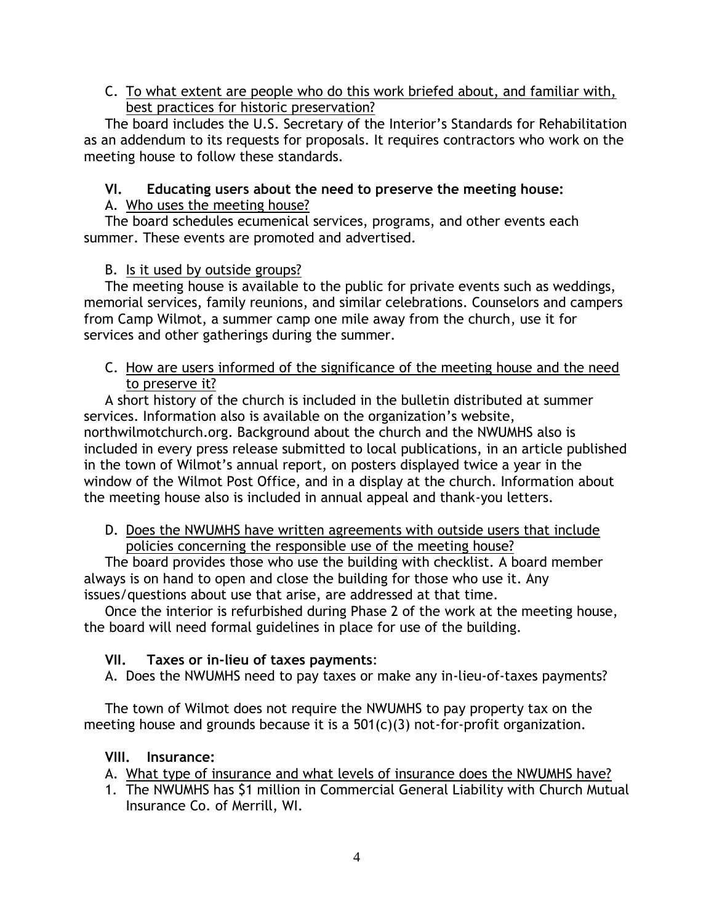## C. To what extent are people who do this work briefed about, and familiar with, best practices for historic preservation?

The board includes the U.S. Secretary of the Interior's Standards for Rehabilitation as an addendum to its requests for proposals. It requires contractors who work on the meeting house to follow these standards.

# **VI. Educating users about the need to preserve the meeting house:**

# A. Who uses the meeting house?

The board schedules ecumenical services, programs, and other events each summer. These events are promoted and advertised.

# B. Is it used by outside groups?

The meeting house is available to the public for private events such as weddings, memorial services, family reunions, and similar celebrations. Counselors and campers from Camp Wilmot, a summer camp one mile away from the church, use it for services and other gatherings during the summer.

## C. How are users informed of the significance of the meeting house and the need to preserve it?

A short history of the church is included in the bulletin distributed at summer services. Information also is available on the organization's website, northwilmotchurch.org. Background about the church and the NWUMHS also is included in every press release submitted to local publications, in an article published in the town of Wilmot's annual report, on posters displayed twice a year in the window of the Wilmot Post Office, and in a display at the church. Information about the meeting house also is included in annual appeal and thank-you letters.

### D. Does the NWUMHS have written agreements with outside users that include policies concerning the responsible use of the meeting house?

The board provides those who use the building with checklist. A board member always is on hand to open and close the building for those who use it. Any issues/questions about use that arise, are addressed at that time.

Once the interior is refurbished during Phase 2 of the work at the meeting house, the board will need formal guidelines in place for use of the building.

# **VII. Taxes or in-lieu of taxes payments**:

A. Does the NWUMHS need to pay taxes or make any in-lieu-of-taxes payments?

The town of Wilmot does not require the NWUMHS to pay property tax on the meeting house and grounds because it is a 501(c)(3) not-for-profit organization.

### **VIII. Insurance:**

- A. What type of insurance and what levels of insurance does the NWUMHS have?
- 1. The NWUMHS has \$1 million in Commercial General Liability with Church Mutual Insurance Co. of Merrill, WI.